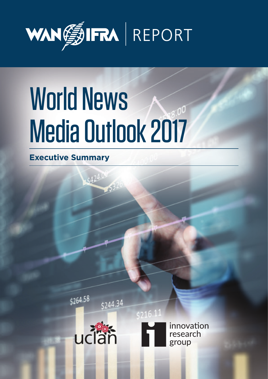

# World News Media Outlook 2017

 $5424.$ 

**Executive Summary**

\$264.58



\$244.34

 $5216.11$ 

innovation research group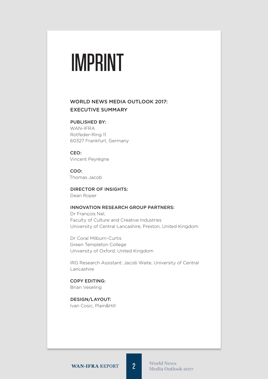# **IMPRINT**

## World News Media outlook 2017: Executive Summary

#### PUBLISHED BY:

WAN-IFRA Rotfeder-Ring 11 60327 Frankfurt, Germany

CEO: Vincent Peyrègne

COO: Thomas Jacob

Director of Insights: Dean Roper

#### Innovation Research Group partners:

Dr François Nel, Faculty of Culture and Creative Industries University of Central Lancashire, Preston, United Kingdom

Dr Coral Milburn-Curtis Green Templeton College University of Oxford, United Kingdom

IRG Research Assistant: Jacob Waite, University of Central Lancashire

copy editing: Brian Veseling

Design/Layout: Ivan Cosic, Plain&Hill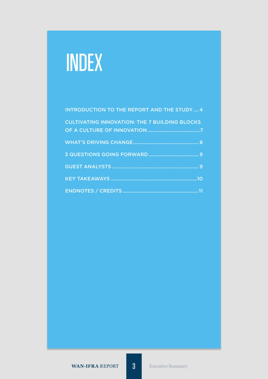# INDEX

| <b>INTRODUCTION TO THE REPORT AND THE STUDY 4</b>    |
|------------------------------------------------------|
| <b>CULTIVATING INNOVATION: THE 7 BUILDING BLOCKS</b> |
|                                                      |
|                                                      |
|                                                      |
|                                                      |
|                                                      |
|                                                      |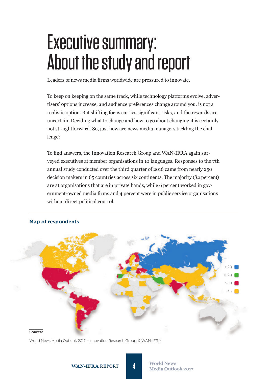# Executive summary: About the study and report

Leaders of news media firms worldwide are pressured to innovate.

To keep on keeping on the same track, while technology platforms evolve, advertisers' options increase, and audience preferences change around you, is not a realistic option. But shifting focus carries significant risks, and the rewards are uncertain. Deciding what to change and how to go about changing it is certainly not straightforward. So, just how are news media managers tackling the challenge?

To find answers, the Innovation Research Group and WAN-IFRA again surveyed executives at member organisations in 10 languages. Responses to the 7th annual study conducted over the third quarter of 2016 came from nearly 250 decision makers in 65 countries across six continents. The majority (82 percent) are at organisations that are in private hands, while 6 percent worked in government-owned media firms and 4 percent were in public service organisations without direct political control.



### **Map of respondents**

World News Media Outlook 2017 – Innovation Research Group, & WAN-IFRA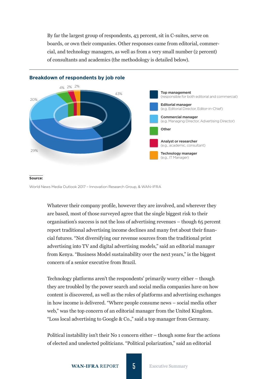By far the largest group of respondents, 43 percent, sit in C-suites, serve on boards, or own their companies. Other responses came from editorial, commercial, and technology managers, as well as from a very small number (2 percent) of consultants and academics (the methodology is detailed below).



#### **Breakdown of respondents by job role**

#### **Source:**

World News Media Outlook 2017 – Innovation Research Group, & WAN-IFRA

Whatever their company profile, however they are involved, and wherever they are based, most of those surveyed agree that the single biggest risk to their organisation's success is not the loss of advertising revenues – though 65 percent report traditional advertising income declines and many fret about their financial futures. "Not diversifying our revenue sources from the traditional print advertising into TV and digital advertising models," said an editorial manager from Kenya. "Business Model sustainability over the next years," is the biggest concern of a senior executive from Brazil.

Technology platforms aren't the respondents' primarily worry either – though they are troubled by the power search and social media companies have on how content is discovered, as well as the roles of platforms and advertising exchanges in how income is delivered. "Where people consume news – social media other web," was the top concern of an editorial manager from the United Kingdom. "Loss local advertising to Google & Co.," said a top manager from Germany.

Political instability isn't their No 1 concern either – though some fear the actions of elected and unelected politicians. "Political polarization," said an editorial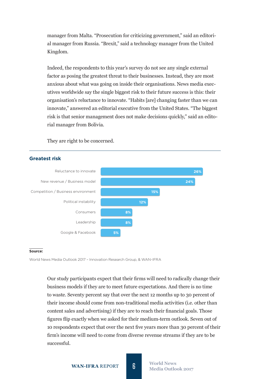manager from Malta. "Prosecution for criticizing government," said an editorial manager from Russia. "Brexit," said a technology manager from the United Kingdom.

Indeed, the respondents to this year's survey do not see any single external factor as posing the greatest threat to their businesses. Instead, they are most anxious about what was going on inside their organisations. News media executives worldwide say the single biggest risk to their future success is this: their organisation's reluctance to innovate. "Habits [are] changing faster than we can innovate," answered an editorial executive from the United States. "The biggest risk is that senior management does not make decisions quickly," said an editorial manager from Bolivia.

They are right to be concerned.

#### Reluctance to innovate New revenue / Business model Competition / Business environment Political instability Consumers Leadership Google & Facebook **26% 24% 15% 12% 8% 8% 5%**

### **Greatest risk**

#### **Source:**

World News Media Outlook 2017 – Innovation Research Group, & WAN-IFRA

Our study participants expect that their firms will need to radically change their business models if they are to meet future expectations. And there is no time to waste. Seventy percent say that over the next 12 months up to 30 percent of their income should come from non-traditional media activities (i.e. other than content sales and advertising) if they are to reach their financial goals. Those figures flip exactly when we asked for their medium-term outlook. Seven out of 10 respondents expect that over the next five years more than 30 percent of their firm's income will need to come from diverse revenue streams if they are to be successful.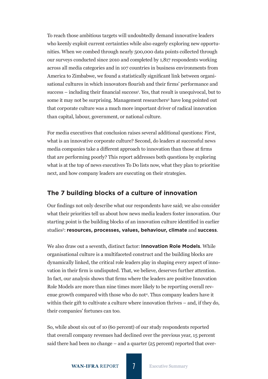To reach those ambitious targets will undoubtedly demand innovative leaders who keenly exploit current certainties while also eagerly exploring new opportunities. When we combed through nearly 500,000 data points collected through our surveys conducted since 2010 and completed by 1,817 respondents working across all media categories and in 107 countries in business environments from America to Zimbabwe, we found a statistically significant link between organisational cultures in which innovators flourish and their firms' performance and success – including their financial success<sup>1</sup>. Yes, that result is unequivocal, but to some it may not be surprising. Management researchers<sup>2</sup> have long pointed out that corporate culture was a much more important driver of radical innovation than capital, labour, government, or national culture.

For media executives that conclusion raises several additional questions: First, what is an innovative corporate culture? Second, do leaders at successful news media companies take a different approach to innovation than those at firms that are performing poorly? This report addresses both questions by exploring what is at the top of news executives To Do lists now, what they plan to prioritise next, and how company leaders are executing on their strategies.

## **The 7 building blocks of a culture of innovation**

Our findings not only describe what our respondents have said; we also consider what their priorities tell us about how news media leaders foster innovation. Our starting point is the building blocks of an innovation culture identified in earlier studies3 : **resources, processes, values, behaviour, climate** and **success**.

We also draw out a seventh, distinct factor: **Innovation Role Models**. While organisational culture is a multifaceted construct and the building blocks are dynamically linked, the critical role leaders play in shaping every aspect of innovation in their firm is undisputed. That, we believe, deserves further attention. In fact, our analysis shows that firms where the leaders are positive Innovation Role Models are more than nine times more likely to be reporting overall revenue growth compared with those who do not<sup>4</sup>. Thus company leaders have it within their gift to cultivate a culture where innovation thrives – and, if they do, their companies' fortunes can too.

So, while about six out of 10 (60 percent) of our study respondents reported that overall company revenues had declined over the previous year, 15 percent said there had been no change – and a quarter (25 percent) reported that over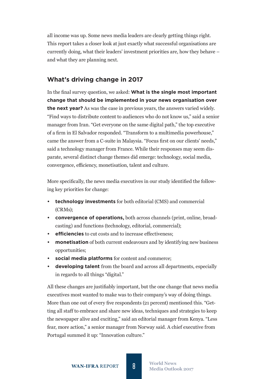all income was up. Some news media leaders are clearly getting things right. This report takes a closer look at just exactly what successful organisations are currently doing, what their leaders' investment priorities are, how they behave – and what they are planning next.

# **What's driving change in 2017**

In the final survey question, we asked: **What is the single most important change that should be implemented in your news organisation over the next year?** As was the case in previous years, the answers varied widely. "Find ways to distribute content to audiences who do not know us," said a senior manager from Iran. "Get everyone on the same digital path," the top executive of a firm in El Salvador responded. "Transform to a multimedia powerhouse," came the answer from a C-suite in Malaysia. "Focus first on our clients' needs," said a technology manager from France. While their responses may seem disparate, several distinct change themes did emerge: technology, social media, convergence, efficiency, monetisation, talent and culture.

More specifically, the news media executives in our study identified the following key priorities for change:

- **• technology investments** for both editorial (CMS) and commercial (CRMs);
- **• convergence of operations,** both across channels (print, online, broadcasting) and functions (technology, editorial, commercial);
- **• efficiencies** to cut costs and to increase effectiveness;
- **monetisation** of both current endeavours and by identifying new business opportunities;
- **• social media platforms** for content and commerce;
- **• developing talent** from the board and across all departments, especially in regards to all things "digital."

All these changes are justifiably important, but the one change that news media executives most wanted to make was to their company's way of doing things. More than one out of every five respondents (21 percent) mentioned this. "Getting all staff to embrace and share new ideas, techniques and strategies to keep the newspaper alive and exciting," said an editorial manager from Kenya. "Less fear, more action," a senior manager from Norway said. A chief executive from Portugal summed it up: "Innovation culture."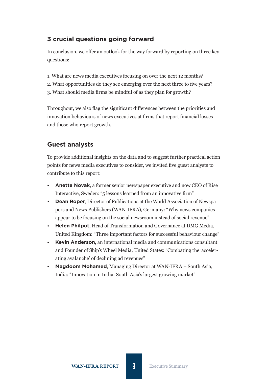# **3 crucial questions going forward**

In conclusion, we offer an outlook for the way forward by reporting on three key questions:

- 1. What are news media executives focusing on over the next 12 months?
- 2. What opportunities do they see emerging over the next three to five years?
- 3. What should media firms be mindful of as they plan for growth?

Throughout, we also flag the significant differences between the priorities and innovation behaviours of news executives at firms that report financial losses and those who report growth.

# **Guest analysts**

To provide additional insights on the data and to suggest further practical action points for news media executives to consider, we invited five guest analysts to contribute to this report:

- **Anette Novak**, a former senior newspaper executive and now CEO of Rise Interactive, Sweden: "5 lessons learned from an innovative firm"
- **• Dean Roper**, Director of Publications at the World Association of Newspapers and News Publishers (WAN-IFRA), Germany: "Why news companies appear to be focusing on the social newsroom instead of social revenue"
- **Helen Philpot**, Head of Transformation and Governance at DMG Media, United Kingdom: "Three important factors for successful behaviour change"
- **Kevin Anderson**, an international media and communications consultant and Founder of Ship's Wheel Media, United States: "Combating the 'accelerating avalanche' of declining ad revenues"
- **Magdoom Mohamed**, Managing Director at WAN-IFRA South Asia, India: "Innovation in India: South Asia's largest growing market"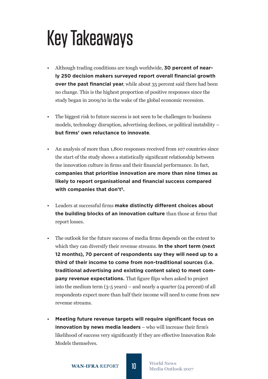# Key Takeaways

- Although trading conditions are tough worldwide, **30 percent of nearly 250 decision makers surveyed report overall financial growth over the past financial year**, while about 35 percent said there had been no change. This is the highest proportion of positive responses since the study began in 2009/10 in the wake of the global economic recession.
- The biggest risk to future success is not seen to be challenges to business models, technology disruption, advertising declines, or political instability – **but firms' own reluctance to innovate**.
- An analysis of more than 1,800 responses received from 107 countries since the start of the study shows a statistically significant relationship between the innovation culture in firms and their financial performance. In fact, **companies that prioritise innovation are more than nine times as likely to report organisational and financial success compared with companies that don't5.**
- Leaders at successful firms **make distinctly different choices about the building blocks of an innovation culture** than those at firms that report losses.
- The outlook for the future success of media firms depends on the extent to which they can diversify their revenue streams. **In the short term (next 12 months), 70 percent of respondents say they will need up to a third of their income to come from non-traditional sources (i.e. traditional advertising and existing content sales) to meet company revenue expectations.** That figure flips when asked to project into the medium term (3-5 years) – and nearly a quarter (24 percent) of all respondents expect more than half their income will need to come from new revenue streams.
- **Meeting future revenue targets will require significant focus on innovation by news media leaders** – who will increase their firm's likelihood of success very significantly if they are effective Innovation Role Models themselves.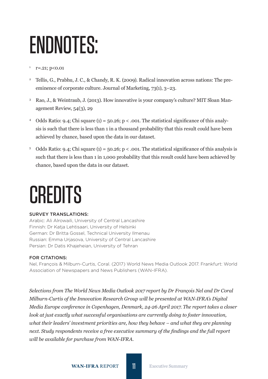# ENDNOTES:

### $r = 0.21$ ; p<0.01

- <sup>2</sup> Tellis, G., Prabhu, J. C., & Chandy, R. K. (2009). Radical innovation across nations: The preeminence of corporate culture. Journal of Marketing, 73(1), 3–23.
- <sup>3</sup> Rao, J., & Weintraub, J. (2013). How innovative is your company's culture? MIT Sloan Management Review, 54(3), 29
- <sup>4</sup> Odds Ratio: 9.4; Chi square (1) = 50.26; p < .001. The statistical significance of this analysis is such that there is less than 1 in a thousand probability that this result could have been achieved by chance, based upon the data in our dataset.
- <sup>5</sup> Odds Ratio: 9.4; Chi square (1) = 50.26; p < .001. The statistical significance of this analysis is such that there is less than 1 in 1,000 probability that this result could have been achieved by chance, based upon the data in our dataset.

# **CREDITS**

### Survey translations:

Arabic: Ali Alrowaili, University of Central Lancashire Finnish: Dr Katja Lehtisaari, University of Helsinki German: Dr Britta Gossel, Technical University Ilmenau Russian: Emma Urjasova, University of Central Lancashire Persian: Dr Datis Khajeheian, University of Tehran

### For citations:

Nel, François & Milburn-Curtis, Coral. (2017) World News Media Outlook 2017. Frankfurt: World Association of Newspapers and News Publishers (WAN-IFRA).

*Selections from The World News Media Outlook 2017 report by Dr François Nel and Dr Coral Milburn-Curtis of the Innovation Research Group will be presented at WAN-IFRA's Digital Media Europe conference in Copenhagen, Denmark, 24-26 April 2017. The report takes a closer look at just exactly what successful organisations are currently doing to foster innovation, what their leaders' investment priorities are, how they behave – and what they are planning next. Study respondents receive a free executive summary of the findings and the full report will be available for purchase from WAN-IFRA.*